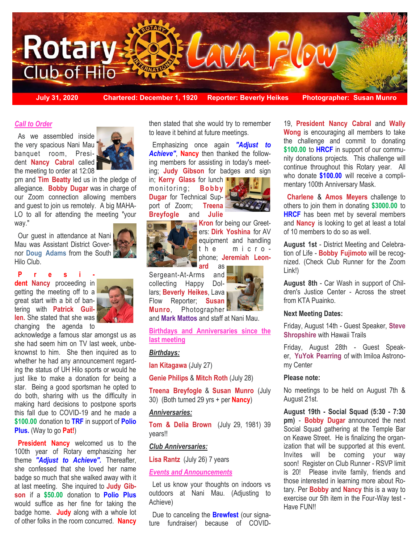

### *Call to Order*

 As we assembled inside the very spacious Nani Mau banquet room, President **Nancy Cabral** called the meeting to order at 12:08



pm and **Tim Beatty** led us in the pledge of allegiance. **Bobby Dugar** was in charge of our Zoom connection allowing members and guest to join us remotely. A big MAHA-LO to all for attending the meeting "your way."

 Our guest in attendance at Nani Mau was Assistant District Governor **Doug Adams** from the South Hilo Club.

## **P r e s i -**

**dent Nancy** proceeding in getting the meeting off to a great start with a bit of bantering with **Patrick Guillen.** She stated that she was changing the agenda to



acknowledge a famous star amongst us as she had seem him on TV last week, unbeknownst to him. She then inquired as to whether he had any announcement regarding the status of UH Hilo sports or would he just like to make a donation for being a star. Being a good sportsman he opted to do both, sharing with us the difficulty in making hard decisions to postpone sports this fall due to COVID-19 and he made a **\$100.00** donation to **TRF** in support of **Polio Plus.** (Way to go **Pat!**)

**President Nancy** welcomed us to the 100th year of Rotary emphasizing her theme *"Adjust to Achieve".* Thereafter, she confessed that she loved her name badge so much that she walked away with it at last meeting. She inquired to **Judy Gibson** if a **\$50.00** donation to **Polio Plus**  would suffice as her fine for taking the badge home. **Judy** along with a whole lot of other folks in the room concurred. **Nancy** 

then stated that she would try to remember to leave it behind at future meetings.

 Emphasizing once again *"Adjust to Achieve"*, **Nancy** then thanked the following members for assisting in today's meeting; **Judy Gibson** for badges and sign

in; **Kerry Glass** for lunch monitoring; **Bobby Dugar** for Technical Support of Zoom; **Treena Breyfogle** and **Julie** 



**Kron** for being our Greeters: **Dirk Yoshina** for AV equipment and handling the microphone; **Jeremiah Leonard** as

Sergeant-At-Arms and collecting Happy Dollars; **Beverly Heikes**, Lava Flow Reporter; **Susan Munro**, Photographer

and **Mark Mattos** and staff at Nani Mau.

**Birthdays and Anniversaries since the last meeting**

# *Birthdays:*

**Ian Kitagawa** (July 27)

**Genie Philips** & **Mitch Roth** (July 28)

**Treena Breyfogle** & **Susan Munro** (July 30) (Both turned 29 yrs + per **Nancy**)

# *Anniversaries:*

**Tom & Delia Brown** (July 29, 1981) 39 years!!

# *Club Anniversaries:*

**Lisa Rantz** (July 26) 7 years

#### *Events and Announcements*

 Let us know your thoughts on indoors vs outdoors at Nani Mau. (Adjusting to Achieve)

 Due to canceling the **Brewfest** (our signature fundraiser) because of COVID- 19, **President Nancy Cabral** and **Wally Wong** is encouraging all members to take the challenge and commit to donating **\$100.00** to **HRCF** in support of our community donations projects. This challenge will continue throughout this Rotary year. All who donate **\$100.00** will receive a complimentary 100th Anniversary Mask.

 **Charlene** & **Amos Meyers** challenge to others to join them in donating **\$3000.00** to **HRCF** has been met by several members and **Nancy** is looking to get at least a total of 10 members to do so as well.

**August 1st** - District Meeting and Celebration of Life - **Bobby Fujimoto** will be recognized. (Check Club Runner for the Zoom Link!)

**August 8th** - Car Wash in support of Children's Justice Center - Across the street from KTA Puainko.

#### **Next Meeting Dates:**

Friday, August 14th - Guest Speaker, **Steve Shropshire** with Hawaii Trails

Friday, August 28th - Guest Speaker, **YuYok Pearring** of with Imiloa Astronomy Center

#### **Please note:**

No meetings to be held on August 7th & August 21st.

**August 19th - Social Squad (5:30 - 7:30 pm)** - **Bobby Dugar** announced the next Social Squad gathering at the Temple Bar on Keawe Street. He is finalizing the organization that will be supported at this event. Invites will be coming your way soon! Register on Club Runner - RSVP limit is 20! Please invite family, friends and those interested in learning more about Rotary. Per **Bobby** and **Nancy** this is a way to exercise our 5th item in the Four-Way test - Have FUN!!